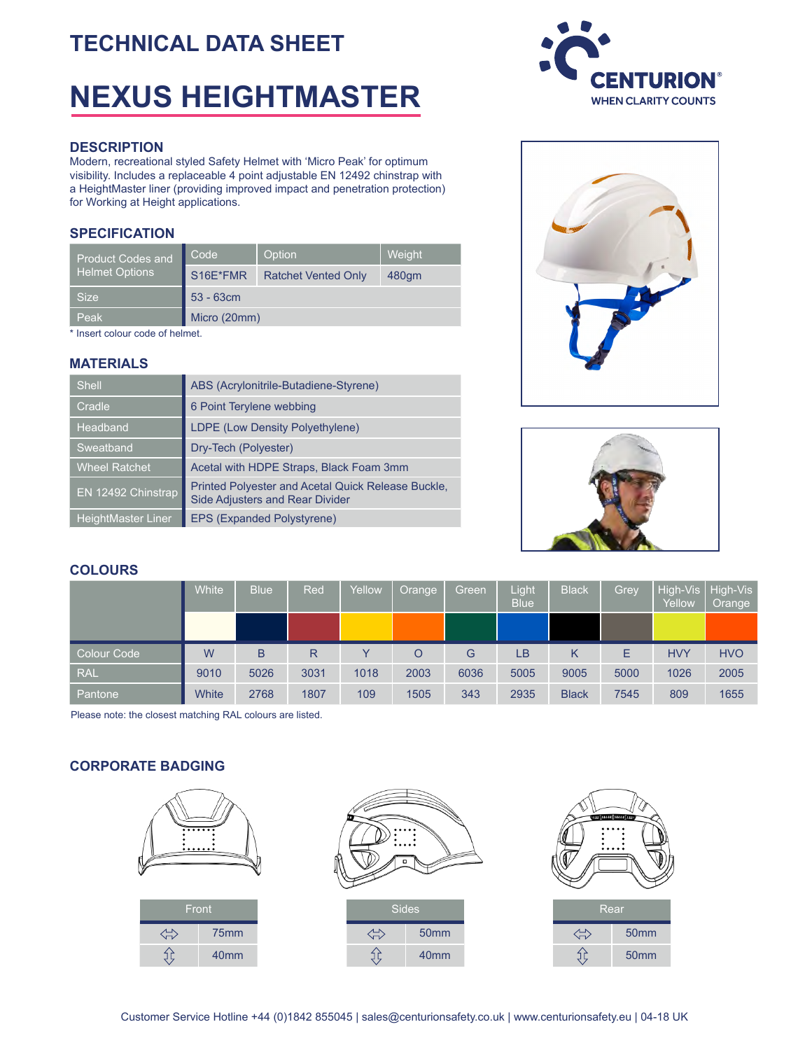# **TECHNICAL DATA SHEET**

# **NEXUS HEIGHTMASTER**

#### **DESCRIPTION**

Modern, recreational styled Safety Helmet with 'Micro Peak' for optimum visibility. Includes a replaceable 4 point adjustable EN 12492 chinstrap with a HeightMaster liner (providing improved impact and penetration protection) for Working at Height applications.

### **SPECIFICATION**

| Product Codes and     | Code         | Option                     | Weight            |  |  |  |  |
|-----------------------|--------------|----------------------------|-------------------|--|--|--|--|
| <b>Helmet Options</b> | S16E*FMR     | <b>Ratchet Vented Only</b> | 480 <sub>qm</sub> |  |  |  |  |
| <b>Size</b>           | $53 - 63$ cm |                            |                   |  |  |  |  |
| Peak                  | Micro (20mm) |                            |                   |  |  |  |  |

\* Insert colour code of helmet.

# **MATERIALS**

| <b>Shell</b>              | ABS (Acrylonitrile-Butadiene-Styrene)                                                 |
|---------------------------|---------------------------------------------------------------------------------------|
| Cradle                    | 6 Point Terylene webbing                                                              |
| Headband                  | LDPE (Low Density Polyethylene)                                                       |
| Sweatband                 | Dry-Tech (Polyester)                                                                  |
| <b>Wheel Ratchet</b>      | Acetal with HDPE Straps, Black Foam 3mm                                               |
| EN 12492 Chinstrap        | Printed Polyester and Acetal Quick Release Buckle,<br>Side Adjusters and Rear Divider |
| <b>HeightMaster Liner</b> | <b>EPS (Expanded Polystyrene)</b>                                                     |







# **COLOURS**

|             | White | <b>Blue</b> | Red  | Yellow       | Orange | Green | Light<br><b>Blue</b> | <b>Black</b> | Grey | Yellow     | High-Vis   High-Vis<br>Orange |
|-------------|-------|-------------|------|--------------|--------|-------|----------------------|--------------|------|------------|-------------------------------|
|             |       |             |      |              |        |       |                      |              |      |            |                               |
| Colour Code | W     | B           | R    | $\checkmark$ | O      | G     | LВ                   | Κ            | Е    | <b>HVY</b> | <b>HVO</b>                    |
| <b>RAL</b>  | 9010  | 5026        | 3031 | 1018         | 2003   | 6036  | 5005                 | 9005         | 5000 | 1026       | 2005                          |
| Pantone     | White | 2768        | 1807 | 109          | 1505   | 343   | 2935                 | <b>Black</b> | 7545 | 809        | 1655                          |

Please note: the closest matching RAL colours are listed.

# **CORPORATE BADGING**

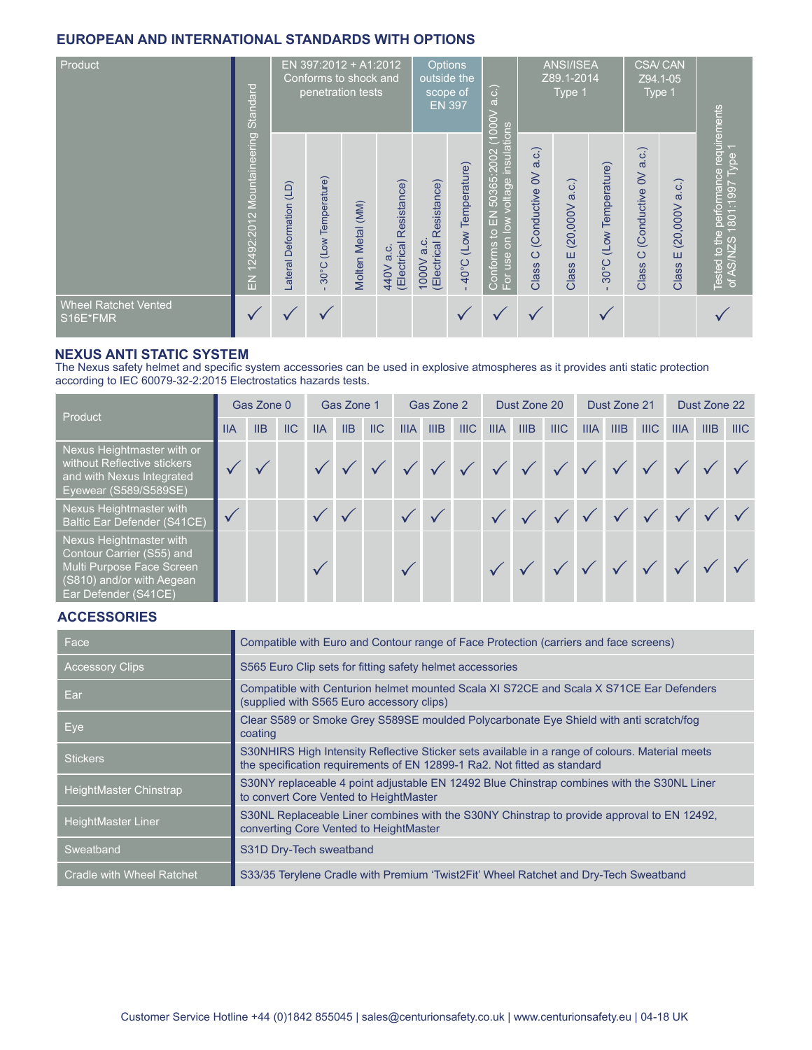# **EUROPEAN AND INTERNATIONAL STANDARDS WITH OPTIONS**

| Product                                 | Standard                          |                               | EN 397:2012 + A1:2012<br>Conforms to shock and<br>penetration tests |                             |                                              |                                         | Options<br>outside the<br>scope of<br><b>EN 397</b> | a.c.)<br>$\rm \stackrel{>}{\sim}$                                                   | <b>ANSI/ISEA</b><br>Z89.1-2014<br>Type 1           |                                  |                                        |                                                                                     | <b>CSA/CAN</b><br>Z94.1-05<br>Type 1                 |                                                                             |
|-----------------------------------------|-----------------------------------|-------------------------------|---------------------------------------------------------------------|-----------------------------|----------------------------------------------|-----------------------------------------|-----------------------------------------------------|-------------------------------------------------------------------------------------|----------------------------------------------------|----------------------------------|----------------------------------------|-------------------------------------------------------------------------------------|------------------------------------------------------|-----------------------------------------------------------------------------|
|                                         | Mountaineering<br>12492:2012<br>즚 | (1D)<br>Deformation<br>ateral | Temperature)<br>(Low)<br>$30^{\circ}$ C                             | (MM)<br><b>Molten Metal</b> | Resistance)<br>(Electrical<br>ن<br>a<br>440V | Resistance)<br>1000Va.c.<br>(Electrical | Temperature)<br>(Low<br>40°C                        | insulations<br>50365:2002<br>oltage<br>Conforms to EN<br>on low<br>luse<br>。<br>「。」 | a.c.)<br>$\geq$<br>(Conductive<br>$\circ$<br>Class | a.c.)<br>(20,000V)<br>ш<br>Class | Temperature)<br>(Low<br>$30^{\circ}$ C | $\widehat{\omega}$<br>ω<br>$\geq$<br>(Conductive<br>ပ<br>$\pmb{\mathsf{C}}$<br>Clas | ි.<br>$\sigma$<br>(20,000)<br>ш<br>$\omega$<br>Class | requirements<br>Type<br>Tested to the performance<br>of AS/NZS 1801:1997 Ty |
| <b>Wheel Ratchet Vented</b><br>S16E*FMR |                                   |                               |                                                                     |                             |                                              |                                         |                                                     |                                                                                     |                                                    |                                  |                                        |                                                                                     |                                                      |                                                                             |

### **NEXUS ANTI STATIC SYSTEM**

The Nexus safety helmet and specifc system accessories can be used in explosive atmospheres as it provides anti static protection according to IEC 60079-32-2:2015 Electrostatics hazards tests.

| Product                                                                                                                                | Gas Zone 0 |     |                           | Gas Zone 1 |     |                | Gas Zone 2  |      |      | Dust Zone 20 |                                                                               |             | Dust Zone 21 |      |      | Dust Zone 22 |      |      |
|----------------------------------------------------------------------------------------------------------------------------------------|------------|-----|---------------------------|------------|-----|----------------|-------------|------|------|--------------|-------------------------------------------------------------------------------|-------------|--------------|------|------|--------------|------|------|
|                                                                                                                                        | <b>IIA</b> | IIB | $\overline{\mathsf{IIC}}$ | <b>IIA</b> | IIB | $\mathsf{IIC}$ | <b>IIIA</b> | IIIB | IIIC | <b>IIIA</b>  | IIIB                                                                          | <b>IIIC</b> | <b>IIIA</b>  | IIIB | IIIC | <b>IIIA</b>  | IIIB | IIIC |
| Nexus Heightmaster with or<br>without Reflective stickers<br>and with Nexus Integrated<br>Eyewear (S589/S589SE)                        |            |     |                           |            |     |                |             |      |      |              | $\checkmark$ $\checkmark$ $\checkmark$ $\checkmark$ $\checkmark$ $\checkmark$ |             |              |      |      |              |      |      |
| Nexus Heightmaster with<br>Baltic Ear Defender (S41CE)                                                                                 |            |     |                           |            |     |                |             |      |      |              |                                                                               |             |              |      |      |              |      |      |
| Nexus Heightmaster with<br>Contour Carrier (S55) and<br>Multi Purpose Face Screen<br>(S810) and/or with Aegean<br>Ear Defender (S41CE) |            |     |                           |            |     |                |             |      |      |              |                                                                               |             |              |      |      |              |      |      |

# **ACCESSORIES**

| Face                             | Compatible with Euro and Contour range of Face Protection (carriers and face screens)                                                                                       |
|----------------------------------|-----------------------------------------------------------------------------------------------------------------------------------------------------------------------------|
| <b>Accessory Clips</b>           | S565 Euro Clip sets for fitting safety helmet accessories                                                                                                                   |
| Ear                              | Compatible with Centurion helmet mounted Scala XI S72CE and Scala X S71CE Ear Defenders<br>(supplied with S565 Euro accessory clips)                                        |
| Eye                              | Clear S589 or Smoke Grey S589SE moulded Polycarbonate Eye Shield with anti scratch/fog<br>coating                                                                           |
| <b>Stickers</b>                  | S30NHIRS High Intensity Reflective Sticker sets available in a range of colours. Material meets<br>the specification requirements of EN 12899-1 Ra2. Not fitted as standard |
| <b>HeightMaster Chinstrap</b>    | S30NY replaceable 4 point adjustable EN 12492 Blue Chinstrap combines with the S30NL Liner<br>to convert Core Vented to HeightMaster                                        |
| <b>HeightMaster Liner</b>        | S30NL Replaceable Liner combines with the S30NY Chinstrap to provide approval to EN 12492.<br>converting Core Vented to HeightMaster                                        |
| Sweatband                        | S31D Dry-Tech sweatband                                                                                                                                                     |
| <b>Cradle with Wheel Ratchet</b> | S33/35 Terylene Cradle with Premium 'Twist2Fit' Wheel Ratchet and Dry-Tech Sweatband                                                                                        |